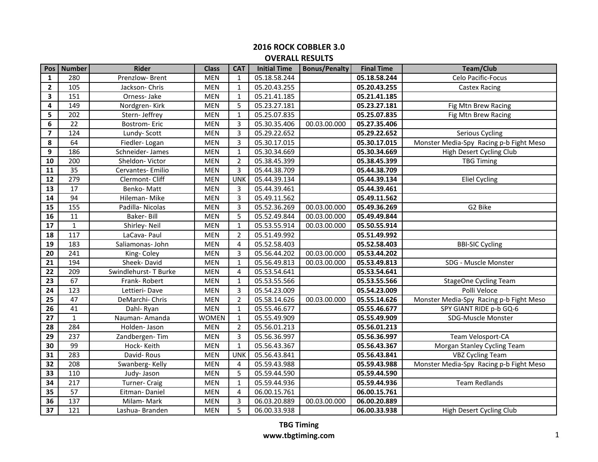| Pos                     | <b>Number</b>   | <b>Rider</b>         | <b>Class</b> | <b>CAT</b>     | <b>Initial Time</b> | <b>Bonus/Penalty</b> | <b>Final Time</b> | <b>Team/Club</b>                        |
|-------------------------|-----------------|----------------------|--------------|----------------|---------------------|----------------------|-------------------|-----------------------------------------|
| $\mathbf{1}$            | 280             | Prenzlow-Brent       | <b>MEN</b>   | $\mathbf{1}$   | 05.18.58.244        |                      | 05.18.58.244      | Celo Pacific-Focus                      |
| $\mathbf{2}$            | 105             | Jackson-Chris        | MEN          | $\mathbf{1}$   | 05.20.43.255        |                      | 05.20.43.255      | <b>Castex Racing</b>                    |
| 3                       | 151             | Orness-Jake          | <b>MEN</b>   | 1              | 05.21.41.185        |                      | 05.21.41.185      |                                         |
| 4                       | 149             | Nordgren-Kirk        | <b>MEN</b>   | 5              | 05.23.27.181        |                      | 05.23.27.181      | Fig Mtn Brew Racing                     |
| 5                       | 202             | Stern- Jeffrey       | <b>MEN</b>   | 1              | 05.25.07.835        |                      | 05.25.07.835      | Fig Mtn Brew Racing                     |
| 6                       | 22              | <b>Bostrom-Eric</b>  | MEN          | 3              | 05.30.35.406        | 00.03.00.000         | 05.27.35.406      |                                         |
| $\overline{\mathbf{z}}$ | 124             | Lundy-Scott          | <b>MEN</b>   | 3              | 05.29.22.652        |                      | 05.29.22.652      | Serious Cycling                         |
| 8                       | 64              | Fiedler-Logan        | <b>MEN</b>   | 3              | 05.30.17.015        |                      | 05.30.17.015      | Monster Media-Spy Racing p-b Fight Meso |
| 9                       | 186             | Schneider-James      | <b>MEN</b>   | 1              | 05.30.34.669        |                      | 05.30.34.669      | High Desert Cycling Club                |
| 10                      | 200             | Sheldon-Victor       | <b>MEN</b>   | $\overline{2}$ | 05.38.45.399        |                      | 05.38.45.399      | <b>TBG Timing</b>                       |
| 11                      | 35              | Cervantes- Emilio    | <b>MEN</b>   | 3              | 05.44.38.709        |                      | 05.44.38.709      |                                         |
| $\overline{12}$         | 279             | Clermont-Cliff       | <b>MEN</b>   | <b>UNK</b>     | 05.44.39.134        |                      | 05.44.39.134      | <b>Eliel Cycling</b>                    |
| 13                      | 17              | Benko-Matt           | <b>MEN</b>   | 3              | 05.44.39.461        |                      | 05.44.39.461      |                                         |
| 14                      | 94              | Hileman-Mike         | <b>MEN</b>   | 3              | 05.49.11.562        |                      | 05.49.11.562      |                                         |
| 15                      | $\frac{155}{ }$ | Padilla-Nicolas      | <b>MEN</b>   | 3              | 05.52.36.269        | 00.03.00.000         | 05.49.36.269      | G2 Bike                                 |
| 16                      | 11              | Baker-Bill           | <b>MEN</b>   | 5              | 05.52.49.844        | 00.03.00.000         | 05.49.49.844      |                                         |
| 17                      | $\mathbf{1}$    | Shirley-Neil         | <b>MEN</b>   | $\mathbf{1}$   | 05.53.55.914        | 00.03.00.000         | 05.50.55.914      |                                         |
| 18                      | 117             | LaCava-Paul          | <b>MEN</b>   | $\overline{2}$ | 05.51.49.992        |                      | 05.51.49.992      |                                         |
| 19                      | 183             | Saliamonas- John     | <b>MEN</b>   | $\overline{4}$ | 05.52.58.403        |                      | 05.52.58.403      | <b>BBI-SIC Cycling</b>                  |
| 20                      | 241             | King-Coley           | <b>MEN</b>   | 3              | 05.56.44.202        | 00.03.00.000         | 05.53.44.202      |                                         |
| 21                      | 194             | Sheek-David          | <b>MEN</b>   | $\mathbf{1}$   | 05.56.49.813        | 00.03.00.000         | 05.53.49.813      | SDG - Muscle Monster                    |
| 22                      | 209             | Swindlehurst-T Burke | <b>MEN</b>   | $\overline{4}$ | 05.53.54.641        |                      | 05.53.54.641      |                                         |
| 23                      | 67              | Frank-Robert         | <b>MEN</b>   | 1              | 05.53.55.566        |                      | 05.53.55.566      | <b>StageOne Cycling Team</b>            |
| 24                      | 123             | Lettieri-Dave        | <b>MEN</b>   | 3              | 05.54.23.009        |                      | 05.54.23.009      | Polli Veloce                            |
| 25                      | 47              | DeMarchi-Chris       | <b>MEN</b>   | $\overline{2}$ | 05.58.14.626        | 00.03.00.000         | 05.55.14.626      | Monster Media-Spy Racing p-b Fight Meso |
| 26                      | 41              | Dahl-Ryan            | <b>MEN</b>   | $\mathbf{1}$   | 05.55.46.677        |                      | 05.55.46.677      | SPY GIANT RIDE p-b GQ-6                 |
| 27                      | $\mathbf{1}$    | Nauman-Amanda        | <b>WOMEN</b> | $\mathbf{1}$   | 05.55.49.909        |                      | 05.55.49.909      | SDG-Muscle Monster                      |
| 28                      | 284             | Holden-Jason         | <b>MEN</b>   | $\overline{2}$ | 05.56.01.213        |                      | 05.56.01.213      |                                         |
| 29                      | 237             | Zandbergen-Tim       | <b>MEN</b>   | 3              | 05.56.36.997        |                      | 05.56.36.997      | Team Velosport-CA                       |
| 30                      | 99              | Hock-Keith           | <b>MEN</b>   | 1              | 05.56.43.367        |                      | 05.56.43.367      | Morgan Stanley Cycling Team             |
| 31                      | 283             | David-Rous           | <b>MEN</b>   | <b>UNK</b>     | 05.56.43.841        |                      | 05.56.43.841      | <b>VBZ Cycling Team</b>                 |
| 32                      | 208             | Swanberg-Kelly       | <b>MEN</b>   | 4              | 05.59.43.988        |                      | 05.59.43.988      | Monster Media-Spy Racing p-b Fight Meso |
| 33                      | 110             | Judy-Jason           | <b>MEN</b>   | 5              | 05.59.44.590        |                      | 05.59.44.590      |                                         |
| 34                      | 217             | Turner- Craig        | <b>MEN</b>   | $\mathbf{1}$   | 05.59.44.936        |                      | 05.59.44.936      | <b>Team Redlands</b>                    |
| 35                      | 57              | Eitman-Daniel        | <b>MEN</b>   | $\overline{4}$ | 06.00.15.761        |                      | 06.00.15.761      |                                         |
| 36                      | 137             | Milam-Mark           | <b>MEN</b>   | 3              | 06.03.20.889        | 00.03.00.000         | 06.00.20.889      |                                         |
| $\overline{37}$         | $\frac{1}{121}$ | Lashua-Branden       | <b>MEN</b>   | 5              | 06.00.33.938        |                      | 06.00.33.938      | High Desert Cycling Club                |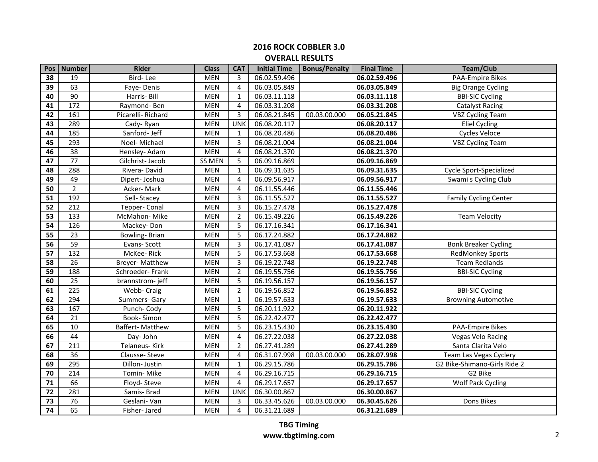| Pos             | <b>Number</b>    | <b>Rider</b>      | <b>Class</b>  | <b>CAT</b>     | <b>Initial Time</b> | <b>Bonus/Penalty</b> | <b>Final Time</b> | <b>Team/Club</b>             |
|-----------------|------------------|-------------------|---------------|----------------|---------------------|----------------------|-------------------|------------------------------|
| 38              | 19               | Bird-Lee          | <b>MEN</b>    | 3              | 06.02.59.496        |                      | 06.02.59.496      | <b>PAA-Empire Bikes</b>      |
| 39              | 63               | Faye-Denis        | MEN           | 4              | 06.03.05.849        |                      | 06.03.05.849      | <b>Big Orange Cycling</b>    |
| 40              | 90               | Harris- Bill      | <b>MEN</b>    | 1              | 06.03.11.118        |                      | 06.03.11.118      | <b>BBI-SIC Cycling</b>       |
| 41              | 172              | Raymond-Ben       | <b>MEN</b>    | 4              | 06.03.31.208        |                      | 06.03.31.208      | <b>Catalyst Racing</b>       |
| 42              | 161              | Picarelli-Richard | <b>MEN</b>    | 3              | 06.08.21.845        | 00.03.00.000         | 06.05.21.845      | <b>VBZ Cycling Team</b>      |
| 43              | 289              | Cady-Ryan         | <b>MEN</b>    | <b>UNK</b>     | 06.08.20.117        |                      | 06.08.20.117      | <b>Eliel Cycling</b>         |
| 44              | 185              | Sanford- Jeff     | <b>MEN</b>    | 1              | 06.08.20.486        |                      | 06.08.20.486      | <b>Cycles Veloce</b>         |
| 45              | 293              | Noel-Michael      | <b>MEN</b>    | 3              | 06.08.21.004        |                      | 06.08.21.004      | <b>VBZ Cycling Team</b>      |
| 46              | 38               | Hensley- Adam     | <b>MEN</b>    | $\overline{4}$ | 06.08.21.370        |                      | 06.08.21.370      |                              |
| 47              | 77               | Gilchrist-Jacob   | <b>SS MEN</b> | 5              | 06.09.16.869        |                      | 06.09.16.869      |                              |
| 48              | 288              | Rivera-David      | <b>MEN</b>    | $\mathbf{1}$   | 06.09.31.635        |                      | 06.09.31.635      | Cycle Sport-Specialized      |
| 49              | 49               | Dipert-Joshua     | <b>MEN</b>    | $\overline{4}$ | 06.09.56.917        |                      | 06.09.56.917      | Swami s Cycling Club         |
| 50              | $\overline{2}$   | Acker-Mark        | <b>MEN</b>    | 4              | 06.11.55.446        |                      | 06.11.55.446      |                              |
| 51              | 192              | Sell-Stacey       | <b>MEN</b>    | 3              | 06.11.55.527        |                      | 06.11.55.527      | <b>Family Cycling Center</b> |
| 52              | $\overline{212}$ | Tepper- Conal     | <b>MEN</b>    | 3              | 06.15.27.478        |                      | 06.15.27.478      |                              |
| 53              | 133              | McMahon-Mike      | <b>MEN</b>    | $\overline{2}$ | 06.15.49.226        |                      | 06.15.49.226      | <b>Team Velocity</b>         |
| 54              | 126              | Mackey-Don        | <b>MEN</b>    | 5              | 06.17.16.341        |                      | 06.17.16.341      |                              |
| 55              | $\overline{23}$  | Bowling-Brian     | <b>MEN</b>    | 5              | 06.17.24.882        |                      | 06.17.24.882      |                              |
| 56              | 59               | Evans-Scott       | <b>MEN</b>    | 3              | 06.17.41.087        |                      | 06.17.41.087      | <b>Bonk Breaker Cycling</b>  |
| 57              | 132              | McKee-Rick        | <b>MEN</b>    | 5              | 06.17.53.668        |                      | 06.17.53.668      | RedMonkey Sports             |
| 58              | 26               | Breyer-Matthew    | <b>MEN</b>    | 3              | 06.19.22.748        |                      | 06.19.22.748      | <b>Team Redlands</b>         |
| 59              | 188              | Schroeder-Frank   | <b>MEN</b>    | $\overline{2}$ | 06.19.55.756        |                      | 06.19.55.756      | <b>BBI-SIC Cycling</b>       |
| 60              | 25               | brannstrom-jeff   | <b>MEN</b>    | 5              | 06.19.56.157        |                      | 06.19.56.157      |                              |
| 61              | 225              | Webb- Craig       | <b>MEN</b>    | $\overline{2}$ | 06.19.56.852        |                      | 06.19.56.852      | <b>BBI-SIC Cycling</b>       |
| 62              | 294              | Summers- Gary     | <b>MEN</b>    | $\mathbf 1$    | 06.19.57.633        |                      | 06.19.57.633      | <b>Browning Automotive</b>   |
| 63              | 167              | Punch-Cody        | <b>MEN</b>    | 5              | 06.20.11.922        |                      | 06.20.11.922      |                              |
| 64              | 21               | Book-Simon        | <b>MEN</b>    | 5              | 06.22.42.477        |                      | 06.22.42.477      |                              |
| 65              | 10               | Baffert-Matthew   | <b>MEN</b>    | 5              | 06.23.15.430        |                      | 06.23.15.430      | <b>PAA-Empire Bikes</b>      |
| 66              | 44               | Day- John         | <b>MEN</b>    | 4              | 06.27.22.038        |                      | 06.27.22.038      | Vegas Velo Racing            |
| 67              | 211              | Telaneus- Kirk    | <b>MEN</b>    | $\overline{2}$ | 06.27.41.289        |                      | 06.27.41.289      | Santa Clarita Velo           |
| 68              | 36               | Clausse-Steve     | <b>MEN</b>    | 4              | 06.31.07.998        | 00.03.00.000         | 06.28.07.998      | Team Las Vegas Cyclery       |
| 69              | 295              | Dillon- Justin    | <b>MEN</b>    | 1              | 06.29.15.786        |                      | 06.29.15.786      | G2 Bike-Shimano-Girls Ride 2 |
| 70              | 214              | Tomin-Mike        | <b>MEN</b>    | 4              | 06.29.16.715        |                      | 06.29.16.715      | G2 Bike                      |
| 71              | 66               | Floyd-Steve       | <b>MEN</b>    | 4              | 06.29.17.657        |                      | 06.29.17.657      | Wolf Pack Cycling            |
| 72              | 281              | Samis-Brad        | <b>MEN</b>    | <b>UNK</b>     | 06.30.00.867        |                      | 06.30.00.867      |                              |
| 73              | 76               | Geslani-Van       | <b>MEN</b>    | 3              | 06.33.45.626        | 00.03.00.000         | 06.30.45.626      | Dons Bikes                   |
| $\overline{74}$ | 65               | Fisher-Jared      | <b>MEN</b>    | 4              | 06.31.21.689        |                      | 06.31.21.689      |                              |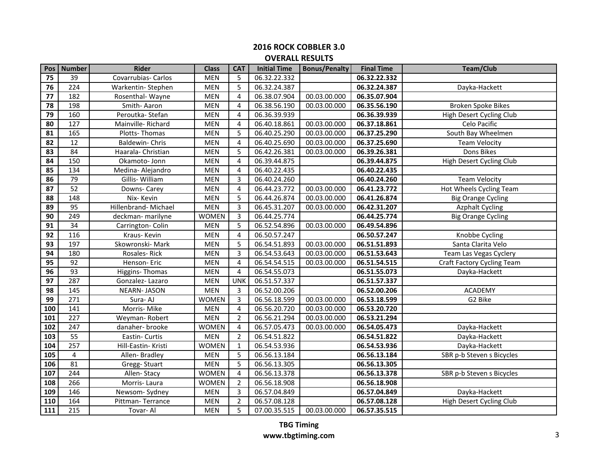| Pos              | <b>Number</b>    | <b>Rider</b>         | <b>Class</b> | <b>CAT</b>     | <b>Initial Time</b> | <b>Bonus/Penalty</b> | <b>Final Time</b> | <b>Team/Club</b>           |
|------------------|------------------|----------------------|--------------|----------------|---------------------|----------------------|-------------------|----------------------------|
| 75               | 39               | Covarrubias- Carlos  | <b>MEN</b>   | 5              | 06.32.22.332        |                      | 06.32.22.332      |                            |
| 76               | 224              | Warkentin-Stephen    | <b>MEN</b>   | 5              | 06.32.24.387        |                      | 06.32.24.387      | Dayka-Hackett              |
| $\overline{77}$  | 182              | Rosenthal-Wayne      | <b>MEN</b>   | 4              | 06.38.07.904        | 00.03.00.000         | 06.35.07.904      |                            |
| 78               | 198              | Smith-Aaron          | <b>MEN</b>   | 4              | 06.38.56.190        | 00.03.00.000         | 06.35.56.190      | <b>Broken Spoke Bikes</b>  |
| 79               | 160              | Peroutka-Stefan      | <b>MEN</b>   | 4              | 06.36.39.939        |                      | 06.36.39.939      | High Desert Cycling Club   |
| 80               | 127              | Mainville-Richard    | <b>MEN</b>   | 4              | 06.40.18.861        | 00.03.00.000         | 06.37.18.861      | Celo Pacific               |
| 81               | 165              | Plotts-Thomas        | <b>MEN</b>   | 5              | 06.40.25.290        | 00.03.00.000         | 06.37.25.290      | South Bay Wheelmen         |
| 82               | 12               | Baldewin- Chris      | <b>MEN</b>   | 4              | 06.40.25.690        | 00.03.00.000         | 06.37.25.690      | <b>Team Velocity</b>       |
| $\overline{83}$  | $\overline{84}$  | Haarala- Christian   | <b>MEN</b>   | 5              | 06.42.26.381        | 00.03.00.000         | 06.39.26.381      | Dons Bikes                 |
| 84               | 150              | Okamoto- Jonn        | <b>MEN</b>   | 4              | 06.39.44.875        |                      | 06.39.44.875      | High Desert Cycling Club   |
| 85               | 134              | Medina-Alejandro     | <b>MEN</b>   | 4              | 06.40.22.435        |                      | 06.40.22.435      |                            |
| 86               | 79               | Gillis-William       | <b>MEN</b>   | 3              | 06.40.24.260        |                      | 06.40.24.260      | <b>Team Velocity</b>       |
| 87               | $\overline{52}$  | Downs-Carey          | <b>MEN</b>   | $\overline{4}$ | 06.44.23.772        | 00.03.00.000         | 06.41.23.772      | Hot Wheels Cycling Team    |
| 88               | 148              | Nix-Kevin            | <b>MEN</b>   | 5              | 06.44.26.874        | 00.03.00.000         | 06.41.26.874      | <b>Big Orange Cycling</b>  |
| 89               | $\overline{95}$  | Hillenbrand- Michael | <b>MEN</b>   | $\overline{3}$ | 06.45.31.207        | 00.03.00.000         | 06.42.31.207      | <b>Azphalt Cycling</b>     |
| 90               | 249              | deckman-marilyne     | <b>WOMEN</b> | $\overline{3}$ | 06.44.25.774        |                      | 06.44.25.774      | <b>Big Orange Cycling</b>  |
| 91               | 34               | Carrington-Colin     | <b>MEN</b>   | 5              | 06.52.54.896        | 00.03.00.000         | 06.49.54.896      |                            |
| 92               | 116              | Kraus-Kevin          | <b>MEN</b>   | $\overline{4}$ | 06.50.57.247        |                      | 06.50.57.247      | Knobbe Cycling             |
| 93               | 197              | Skowronski-Mark      | <b>MEN</b>   | 5              | 06.54.51.893        | 00.03.00.000         | 06.51.51.893      | Santa Clarita Velo         |
| 94               | 180              | Rosales-Rick         | <b>MEN</b>   | 3              | 06.54.53.643        | 00.03.00.000         | 06.51.53.643      | Team Las Vegas Cyclery     |
| $\overline{95}$  | 92               | Henson-Eric          | <b>MEN</b>   | $\overline{4}$ | 06.54.54.515        | 00.03.00.000         | 06.51.54.515      | Craft Factory Cycling Team |
| 96               | 93               | Higgins-Thomas       | <b>MEN</b>   | 4              | 06.54.55.073        |                      | 06.51.55.073      | Dayka-Hackett              |
| $\overline{97}$  | 287              | Gonzalez-Lazaro      | <b>MEN</b>   | <b>UNK</b>     | 06.51.57.337        |                      | 06.51.57.337      |                            |
| 98               | 145              | <b>NEARN-JASON</b>   | <b>MEN</b>   | 3              | 06.52.00.206        |                      | 06.52.00.206      | <b>ACADEMY</b>             |
| 99               | 271              | Sura-AJ              | <b>WOMEN</b> | 3              | 06.56.18.599        | 00.03.00.000         | 06.53.18.599      | G2 Bike                    |
| 100              | 141              | Morris- Mike         | <b>MEN</b>   | 4              | 06.56.20.720        | 00.03.00.000         | 06.53.20.720      |                            |
| 101              | 227              | Weyman-Robert        | <b>MEN</b>   | $\overline{2}$ | 06.56.21.294        | 00.03.00.000         | 06.53.21.294      |                            |
| 102              | 247              | danaher-brooke       | <b>WOMEN</b> | 4              | 06.57.05.473        | 00.03.00.000         | 06.54.05.473      | Dayka-Hackett              |
| 103              | 55               | Eastin- Curtis       | <b>MEN</b>   | 2              | 06.54.51.822        |                      | 06.54.51.822      | Dayka-Hackett              |
| 104              | 257              | Hill-Eastin- Kristi  | <b>WOMEN</b> | $\mathbf{1}$   | 06.54.53.936        |                      | 06.54.53.936      | Dayka-Hackett              |
| 105              | 4                | Allen-Bradley        | <b>MEN</b>   | 5              | 06.56.13.184        |                      | 06.56.13.184      | SBR p-b Steven s Bicycles  |
| 106              | 81               | Gregg-Stuart         | <b>MEN</b>   | 5              | 06.56.13.305        |                      | 06.56.13.305      |                            |
| 107              | 244              | Allen-Stacy          | <b>WOMEN</b> | 4              | 06.56.13.378        |                      | 06.56.13.378      | SBR p-b Steven s Bicycles  |
| 108              | 266              | Morris-Laura         | <b>WOMEN</b> | $\overline{2}$ | 06.56.18.908        |                      | 06.56.18.908      |                            |
| 109              | 146              | Newsom-Sydney        | <b>MEN</b>   | 3              | 06.57.04.849        |                      | 06.57.04.849      | Dayka-Hackett              |
| 110              | 164              | Pittman-Terrance     | <b>MEN</b>   | $\overline{2}$ | 06.57.08.128        |                      | 06.57.08.128      | High Desert Cycling Club   |
| $\frac{111}{11}$ | $\overline{215}$ | Tovar-Al             | <b>MEN</b>   | 5              | 07.00.35.515        | 00.03.00.000         | 06.57.35.515      |                            |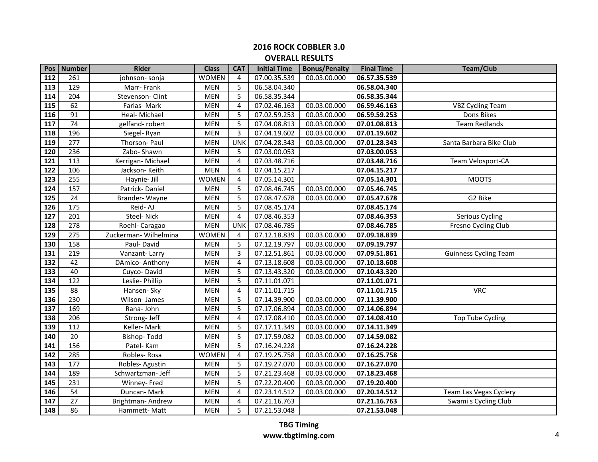| Pos | Number | <b>Rider</b>          | <b>Class</b> | <b>CAT</b>     | <b>Initial Time</b> | <b>Bonus/Penalty</b> | <b>Final Time</b> | Team/Club                    |
|-----|--------|-----------------------|--------------|----------------|---------------------|----------------------|-------------------|------------------------------|
| 112 | 261    | johnson- sonja        | <b>WOMEN</b> | 4              | 07.00.35.539        | 00.03.00.000         | 06.57.35.539      |                              |
| 113 | 129    | Marr-Frank            | <b>MEN</b>   | 5              | 06.58.04.340        |                      | 06.58.04.340      |                              |
| 114 | 204    | Stevenson-Clint       | <b>MEN</b>   | 5              | 06.58.35.344        |                      | 06.58.35.344      |                              |
| 115 | 62     | Farias-Mark           | <b>MEN</b>   | 4              | 07.02.46.163        | 00.03.00.000         | 06.59.46.163      | <b>VBZ Cycling Team</b>      |
| 116 | 91     | Heal- Michael         | <b>MEN</b>   | 5              | 07.02.59.253        | 00.03.00.000         | 06.59.59.253      | Dons Bikes                   |
| 117 | 74     | gelfand-robert        | <b>MEN</b>   | 5              | 07.04.08.813        | 00.03.00.000         | 07.01.08.813      | <b>Team Redlands</b>         |
| 118 | 196    | Siegel-Ryan           | <b>MEN</b>   | 3              | 07.04.19.602        | 00.03.00.000         | 07.01.19.602      |                              |
| 119 | 277    | Thorson- Paul         | <b>MEN</b>   | <b>UNK</b>     | 07.04.28.343        | 00.03.00.000         | 07.01.28.343      | Santa Barbara Bike Club      |
| 120 | 236    | Zabo-Shawn            | <b>MEN</b>   | 5              | 07.03.00.053        |                      | 07.03.00.053      |                              |
| 121 | 113    | Kerrigan-Michael      | MEN          | 4              | 07.03.48.716        |                      | 07.03.48.716      | Team Velosport-CA            |
| 122 | 106    | Jackson-Keith         | <b>MEN</b>   | 4              | 07.04.15.217        |                      | 07.04.15.217      |                              |
| 123 | 255    | Haynie- Jill          | <b>WOMEN</b> | 4              | 07.05.14.301        |                      | 07.05.14.301      | <b>MOOTS</b>                 |
| 124 | 157    | Patrick-Daniel        | <b>MEN</b>   | 5              | 07.08.46.745        | 00.03.00.000         | 07.05.46.745      |                              |
| 125 | 24     | Brander-Wayne         | <b>MEN</b>   | 5              | 07.08.47.678        | 00.03.00.000         | 07.05.47.678      | G2 Bike                      |
| 126 | 175    | Reid-AJ               | <b>MEN</b>   | 5              | 07.08.45.174        |                      | 07.08.45.174      |                              |
| 127 | 201    | Steel-Nick            | <b>MEN</b>   | 4              | 07.08.46.353        |                      | 07.08.46.353      | Serious Cycling              |
| 128 | 278    | Roehl- Caragao        | <b>MEN</b>   | <b>UNK</b>     | 07.08.46.785        |                      | 07.08.46.785      | Fresno Cycling Club          |
| 129 | 275    | Zuckerman- Wilhelmina | <b>WOMEN</b> | 4              | 07.12.18.839        | 00.03.00.000         | 07.09.18.839      |                              |
| 130 | 158    | Paul-David            | <b>MEN</b>   | 5              | 07.12.19.797        | 00.03.00.000         | 07.09.19.797      |                              |
| 131 | 219    | Vanzant-Larry         | <b>MEN</b>   | 3              | 07.12.51.861        | 00.03.00.000         | 07.09.51.861      | <b>Guinness Cycling Team</b> |
| 132 | 42     | DAmico-Anthony        | <b>MEN</b>   | 4              | 07.13.18.608        | 00.03.00.000         | 07.10.18.608      |                              |
| 133 | 40     | Cuyco-David           | MEN          | 5              | 07.13.43.320        | 00.03.00.000         | 07.10.43.320      |                              |
| 134 | 122    | Leslie- Phillip       | <b>MEN</b>   | 5              | 07.11.01.071        |                      | 07.11.01.071      |                              |
| 135 | 88     | Hansen- Sky           | <b>MEN</b>   | 4              | 07.11.01.715        |                      | 07.11.01.715      | <b>VRC</b>                   |
| 136 | 230    | Wilson-James          | MEN          | 5              | 07.14.39.900        | 00.03.00.000         | 07.11.39.900      |                              |
| 137 | 169    | Rana-John             | <b>MEN</b>   | 5              | 07.17.06.894        | 00.03.00.000         | 07.14.06.894      |                              |
| 138 | 206    | Strong-Jeff           | <b>MEN</b>   | 4              | 07.17.08.410        | 00.03.00.000         | 07.14.08.410      | <b>Top Tube Cycling</b>      |
| 139 | 112    | Keller-Mark           | <b>MEN</b>   | 5              | 07.17.11.349        | 00.03.00.000         | 07.14.11.349      |                              |
| 140 | 20     | Bishop-Todd           | <b>MEN</b>   | 5              | 07.17.59.082        | 00.03.00.000         | 07.14.59.082      |                              |
| 141 | 156    | Patel-Kam             | <b>MEN</b>   | 5              | 07.16.24.228        |                      | 07.16.24.228      |                              |
| 142 | 285    | Robles-Rosa           | <b>WOMEN</b> | 4              | 07.19.25.758        | 00.03.00.000         | 07.16.25.758      |                              |
| 143 | 177    | Robles-Agustin        | MEN          | 5              | 07.19.27.070        | 00.03.00.000         | 07.16.27.070      |                              |
| 144 | 189    | Schwartzman- Jeff     | MEN          | 5              | 07.21.23.468        | 00.03.00.000         | 07.18.23.468      |                              |
| 145 | 231    | Winney- Fred          | <b>MEN</b>   | 5              | 07.22.20.400        | 00.03.00.000         | 07.19.20.400      |                              |
| 146 | 54     | Duncan-Mark           | MEN          | $\overline{4}$ | 07.23.14.512        | 00.03.00.000         | 07.20.14.512      | Team Las Vegas Cyclery       |
| 147 | 27     | Brightman-Andrew      | <b>MEN</b>   | 4              | 07.21.16.763        |                      | 07.21.16.763      | Swami s Cycling Club         |
| 148 | 86     | Hammett-Matt          | <b>MEN</b>   | 5              | 07.21.53.048        |                      | 07.21.53.048      |                              |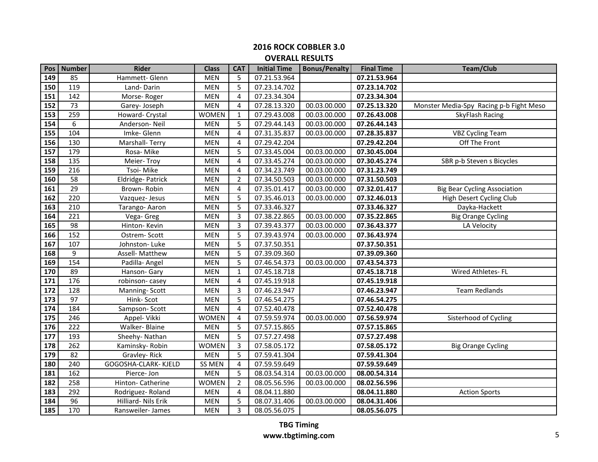| Pos             | Number | <b>Rider</b>         | <b>Class</b>  | <b>CAT</b>     | <b>Initial Time</b> | <b>Bonus/Penalty</b> | <b>Final Time</b> | <b>Team/Club</b>                        |
|-----------------|--------|----------------------|---------------|----------------|---------------------|----------------------|-------------------|-----------------------------------------|
| 149             | 85     | Hammett- Glenn       | <b>MEN</b>    | 5              | 07.21.53.964        |                      | 07.21.53.964      |                                         |
| 150             | 119    | Land-Darin           | <b>MEN</b>    | 5              | 07.23.14.702        |                      | 07.23.14.702      |                                         |
| 151             | 142    | Morse-Roger          | <b>MEN</b>    | 4              | 07.23.34.304        |                      | 07.23.34.304      |                                         |
| 152             | 73     | Garey-Joseph         | MEN           | 4              | 07.28.13.320        | 00.03.00.000         | 07.25.13.320      | Monster Media-Spy Racing p-b Fight Meso |
| 153             | 259    | Howard- Crystal      | <b>WOMEN</b>  | 1              | 07.29.43.008        | 00.03.00.000         | 07.26.43.008      | SkyFlash Racing                         |
| 154             | 6      | Anderson-Neil        | <b>MEN</b>    | 5              | 07.29.44.143        | 00.03.00.000         | 07.26.44.143      |                                         |
| 155             | 104    | Imke-Glenn           | <b>MEN</b>    | 4              | 07.31.35.837        | 00.03.00.000         | 07.28.35.837      | <b>VBZ Cycling Team</b>                 |
| 156             | 130    | Marshall-Terry       | <b>MEN</b>    | 4              | 07.29.42.204        |                      | 07.29.42.204      | Off The Front                           |
| 157             | 179    | Rosa-Mike            | MEN           | 5              | 07.33.45.004        | 00.03.00.000         | 07.30.45.004      |                                         |
| 158             | 135    | Meier-Troy           | <b>MEN</b>    | 4              | 07.33.45.274        | 00.03.00.000         | 07.30.45.274      | SBR p-b Steven s Bicycles               |
| 159             | 216    | Tsoi-Mike            | <b>MEN</b>    | 4              | 07.34.23.749        | 00.03.00.000         | 07.31.23.749      |                                         |
| 160             | 58     | Eldridge-Patrick     | <b>MEN</b>    | $\overline{2}$ | 07.34.50.503        | 00.03.00.000         | 07.31.50.503      |                                         |
| 161             | 29     | Brown-Robin          | <b>MEN</b>    | 4              | 07.35.01.417        | 00.03.00.000         | 07.32.01.417      | <b>Big Bear Cycling Association</b>     |
| 162             | 220    | Vazquez-Jesus        | <b>MEN</b>    | 5              | 07.35.46.013        | 00.03.00.000         | 07.32.46.013      | High Desert Cycling Club                |
| 163             | 210    | Tarango-Aaron        | <b>MEN</b>    | 5              | 07.33.46.327        |                      | 07.33.46.327      | Dayka-Hackett                           |
| 164             | 221    | Vega- Greg           | <b>MEN</b>    | 3              | 07.38.22.865        | 00.03.00.000         | 07.35.22.865      | <b>Big Orange Cycling</b>               |
| 165             | 98     | Hinton-Kevin         | <b>MEN</b>    | 3              | 07.39.43.377        | 00.03.00.000         | 07.36.43.377      | LA Velocity                             |
| 166             | 152    | Ostrem-Scott         | <b>MEN</b>    | 5              | 07.39.43.974        | 00.03.00.000         | 07.36.43.974      |                                         |
| 167             | 107    | Johnston-Luke        | MEN           | 5              | 07.37.50.351        |                      | 07.37.50.351      |                                         |
| 168             | 9      | Assell- Matthew      | <b>MEN</b>    | 5              | 07.39.09.360        |                      | 07.39.09.360      |                                         |
| 169             | 154    | Padilla-Angel        | <b>MEN</b>    | 5              | 07.46.54.373        | 00.03.00.000         | 07.43.54.373      |                                         |
| 170             | 89     | Hanson- Gary         | <b>MEN</b>    | $\mathbf{1}$   | 07.45.18.718        |                      | 07.45.18.718      | Wired Athletes-FL                       |
| 171             | 176    | robinson-casey       | <b>MEN</b>    | 4              | 07.45.19.918        |                      | 07.45.19.918      |                                         |
| 172             | 128    | Manning-Scott        | MEN           | 3              | 07.46.23.947        |                      | 07.46.23.947      | <b>Team Redlands</b>                    |
| 173             | 97     | Hink-Scot            | <b>MEN</b>    | 5              | 07.46.54.275        |                      | 07.46.54.275      |                                         |
| 174             | 184    | Sampson-Scott        | <b>MEN</b>    | 4              | 07.52.40.478        |                      | 07.52.40.478      |                                         |
| 175             | 246    | Appel- Vikki         | <b>WOMEN</b>  | 4              | 07.59.59.974        | 00.03.00.000         | 07.56.59.974      | Sisterhood of Cycling                   |
| 176             | 222    | Walker- Blaine       | <b>MEN</b>    | 5              | 07.57.15.865        |                      | 07.57.15.865      |                                         |
| 177             | 193    | Sheehy-Nathan        | <b>MEN</b>    | 5              | 07.57.27.498        |                      | 07.57.27.498      |                                         |
| 178             | 262    | Kaminsky-Robin       | <b>WOMEN</b>  | 3              | 07.58.05.172        |                      | 07.58.05.172      | <b>Big Orange Cycling</b>               |
| 179             | 82     | Gravley-Rick         | <b>MEN</b>    | 5              | 07.59.41.304        |                      | 07.59.41.304      |                                         |
| 180             | 240    | GOGOSHA-CLARK- KJELD | <b>SS MEN</b> | 4              | 07.59.59.649        |                      | 07.59.59.649      |                                         |
| 181             | 162    | Pierce- Jon          | <b>MEN</b>    | 5              | 08.03.54.314        | 00.03.00.000         | 08.00.54.314      |                                         |
| 182             | 258    | Hinton- Catherine    | <b>WOMEN</b>  | $\overline{2}$ | 08.05.56.596        | 00.03.00.000         | 08.02.56.596      |                                         |
| 183             | 292    | Rodriguez-Roland     | <b>MEN</b>    | 4              | 08.04.11.880        |                      | 08.04.11.880      | <b>Action Sports</b>                    |
| 184             | 96     | Hilliard- Nils Erik  | <b>MEN</b>    | 5              | 08.07.31.406        | 00.03.00.000         | 08.04.31.406      |                                         |
| $\frac{185}{ }$ | 170    | Ransweiler- James    | <b>MEN</b>    | 3              | 08.05.56.075        |                      | 08.05.56.075      |                                         |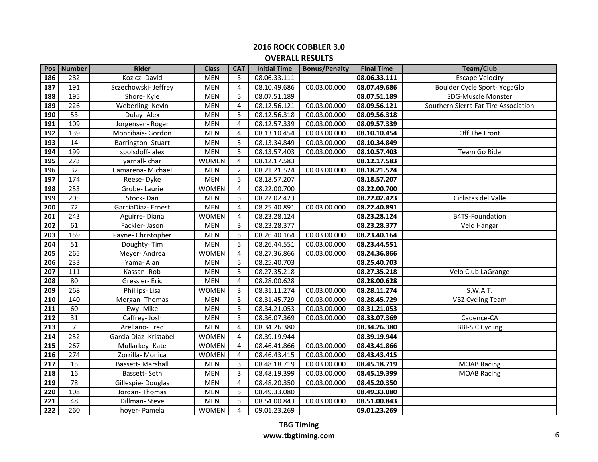| Pos              | <b>Number</b>    | <b>Rider</b>             | <b>Class</b> | <b>CAT</b>     | <b>Initial Time</b> | <b>Bonus/Penalty</b> | <b>Final Time</b> | Team/Club                            |
|------------------|------------------|--------------------------|--------------|----------------|---------------------|----------------------|-------------------|--------------------------------------|
| 186              | 282              | Kozicz-David             | <b>MEN</b>   | 3              | 08.06.33.111        |                      | 08.06.33.111      | <b>Escape Velocity</b>               |
| 187              | 191              | Sczechowski- Jeffrey     | <b>MEN</b>   | 4              | 08.10.49.686        | 00.03.00.000         | 08.07.49.686      | Boulder Cycle Sport- YogaGlo         |
| 188              | 195              | Shore-Kyle               | <b>MEN</b>   | 5              | 08.07.51.189        |                      | 08.07.51.189      | SDG-Muscle Monster                   |
| 189              | 226              | Weberling-Kevin          | <b>MEN</b>   | 4              | 08.12.56.121        | 00.03.00.000         | 08.09.56.121      | Southern Sierra Fat Tire Association |
| 190              | 53               | Dulay-Alex               | <b>MEN</b>   | 5              | 08.12.56.318        | 00.03.00.000         | 08.09.56.318      |                                      |
| 191              | 109              | Jorgensen-Roger          | <b>MEN</b>   | 4              | 08.12.57.339        | 00.03.00.000         | 08.09.57.339      |                                      |
| 192              | 139              | Moncibais- Gordon        | <b>MEN</b>   | 4              | 08.13.10.454        | 00.03.00.000         | 08.10.10.454      | Off The Front                        |
| 193              | 14               | <b>Barrington-Stuart</b> | <b>MEN</b>   | 5              | 08.13.34.849        | 00.03.00.000         | 08.10.34.849      |                                      |
| 194              | 199              | spolsdoff-alex           | MEN          | 5              | 08.13.57.403        | 00.03.00.000         | 08.10.57.403      | Team Go Ride                         |
| 195              | 273              | yarnall-char             | <b>WOMEN</b> | $\overline{4}$ | 08.12.17.583        |                      | 08.12.17.583      |                                      |
| 196              | 32               | Camarena-Michael         | <b>MEN</b>   | $\overline{2}$ | 08.21.21.524        | 00.03.00.000         | 08.18.21.524      |                                      |
| 197              | 174              | Reese-Dyke               | <b>MEN</b>   | 5              | 08.18.57.207        |                      | 08.18.57.207      |                                      |
| 198              | 253              | Grube-Laurie             | <b>WOMEN</b> | 4              | 08.22.00.700        |                      | 08.22.00.700      |                                      |
| 199              | 205              | Stock-Dan                | <b>MEN</b>   | 5              | 08.22.02.423        |                      | 08.22.02.423      | Ciclistas del Valle                  |
| 200              | 72               | GarciaDiaz-Ernest        | <b>MEN</b>   | 4              | 08.25.40.891        | 00.03.00.000         | 08.22.40.891      |                                      |
| 201              | 243              | Aguirre-Diana            | <b>WOMEN</b> | $\overline{4}$ | 08.23.28.124        |                      | 08.23.28.124      | B4T9-Foundation                      |
| 202              | 61               | Fackler-Jason            | <b>MEN</b>   | 3              | 08.23.28.377        |                      | 08.23.28.377      | Velo Hangar                          |
| 203              | 159              | Payne- Christopher       | <b>MEN</b>   | 5              | 08.26.40.164        | 00.03.00.000         | 08.23.40.164      |                                      |
| 204              | 51               | Doughty-Tim              | MEN          | 5              | 08.26.44.551        | 00.03.00.000         | 08.23.44.551      |                                      |
| 205              | 265              | Meyer-Andrea             | <b>WOMEN</b> | $\overline{4}$ | 08.27.36.866        | 00.03.00.000         | 08.24.36.866      |                                      |
| 206              | 233              | Yama- Alan               | <b>MEN</b>   | 5              | 08.25.40.703        |                      | 08.25.40.703      |                                      |
| 207              | 111              | Kassan-Rob               | <b>MEN</b>   | 5              | 08.27.35.218        |                      | 08.27.35.218      | Velo Club LaGrange                   |
| 208              | 80               | Gressler-Eric            | <b>MEN</b>   | 4              | 08.28.00.628        |                      | 08.28.00.628      |                                      |
| 209              | 268              | Phillips-Lisa            | <b>WOMEN</b> | 3              | 08.31.11.274        | 00.03.00.000         | 08.28.11.274      | S.W.A.T.                             |
| 210              | 140              | Morgan-Thomas            | MEN          | 3              | 08.31.45.729        | 00.03.00.000         | 08.28.45.729      | <b>VBZ Cycling Team</b>              |
| 211              | 60               | Ewy-Mike                 | <b>MEN</b>   | 5              | 08.34.21.053        | 00.03.00.000         | 08.31.21.053      |                                      |
| 212              | 31               | Caffrey-Josh             | <b>MEN</b>   | 3              | 08.36.07.369        | 00.03.00.000         | 08.33.07.369      | Cadence-CA                           |
| 213              | $\overline{7}$   | Arellano-Fred            | <b>MEN</b>   | $\overline{4}$ | 08.34.26.380        |                      | 08.34.26.380      | <b>BBI-SIC Cycling</b>               |
| 214              | 252              | Garcia Diaz- Kristabel   | <b>WOMEN</b> | 4              | 08.39.19.944        |                      | 08.39.19.944      |                                      |
| 215              | 267              | Mullarkey-Kate           | <b>WOMEN</b> | 4              | 08.46.41.866        | 00.03.00.000         | 08.43.41.866      |                                      |
| 216              | 274              | Zorrilla-Monica          | <b>WOMEN</b> | 4              | 08.46.43.415        | 00.03.00.000         | 08.43.43.415      |                                      |
| $\overline{217}$ | 15               | <b>Bassett-Marshall</b>  | <b>MEN</b>   | 3              | 08.48.18.719        | 00.03.00.000         | 08.45.18.719      | <b>MOAB Racing</b>                   |
| 218              | 16               | Bassett-Seth             | <b>MEN</b>   | 3              | 08.48.19.399        | 00.03.00.000         | 08.45.19.399      | <b>MOAB Racing</b>                   |
| 219              | 78               | Gillespie-Douglas        | <b>MEN</b>   | 4              | 08.48.20.350        | 00.03.00.000         | 08.45.20.350      |                                      |
| 220              | 108              | Jordan-Thomas            | <b>MEN</b>   | 5              | 08.49.33.080        |                      | 08.49.33.080      |                                      |
| 221              | 48               | Dillman-Steve            | <b>MEN</b>   | 5              | 08.54.00.843        | 00.03.00.000         | 08.51.00.843      |                                      |
| $\overline{222}$ | $\overline{260}$ | hoyer- Pamela            | <b>WOMEN</b> | 4              | 09.01.23.269        |                      | 09.01.23.269      |                                      |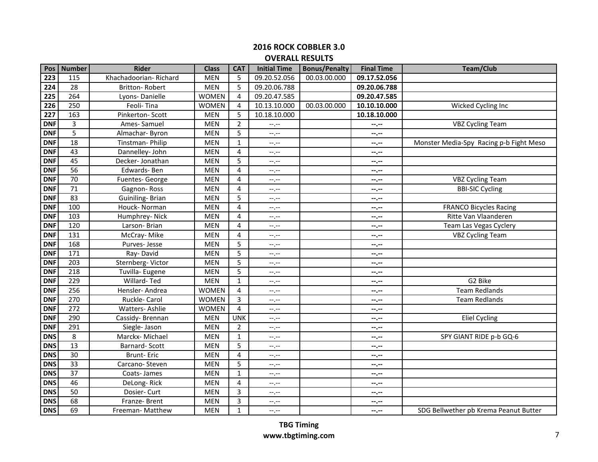| Pos              | <b>Number</b>   | <b>Rider</b>          | <b>Class</b> | <b>CAT</b>     | <b>Initial Time</b> | <b>Bonus/Penalty</b> | <b>Final Time</b> | <b>Team/Club</b>                        |
|------------------|-----------------|-----------------------|--------------|----------------|---------------------|----------------------|-------------------|-----------------------------------------|
| $\overline{223}$ | 115             | Khachadoorian-Richard | <b>MEN</b>   | 5              | 09.20.52.056        | 00.03.00.000         | 09.17.52.056      |                                         |
| 224              | 28              | Britton-Robert        | <b>MEN</b>   | 5              | 09.20.06.788        |                      | 09.20.06.788      |                                         |
| 225              | 264             | Lyons-Danielle        | <b>WOMEN</b> | 4              | 09.20.47.585        |                      | 09.20.47.585      |                                         |
| 226              | 250             | Feoli-Tina            | <b>WOMEN</b> | 4              | 10.13.10.000        | 00.03.00.000         | 10.10.10.000      | Wicked Cycling Inc                      |
| 227              | 163             | Pinkerton-Scott       | <b>MEN</b>   | 5              | 10.18.10.000        |                      | 10.18.10.000      |                                         |
| <b>DNF</b>       | 3               | Ames-Samuel           | <b>MEN</b>   | $\overline{2}$ | --,--               |                      | $- - - - -$       | <b>VBZ Cycling Team</b>                 |
| <b>DNF</b>       | $\overline{5}$  | Almachar-Byron        | <b>MEN</b>   | 5              | $-1, -1$            |                      | $- - - -$         |                                         |
| <b>DNF</b>       | 18              | Tinstman-Philip       | <b>MEN</b>   | 1              | $-1, -1$            |                      | $- - - - -$       | Monster Media-Spy Racing p-b Fight Meso |
| <b>DNF</b>       | 43              | Dannelley- John       | <b>MEN</b>   | 4              | --,--               |                      | $-1 - 1 - 1 = 0$  |                                         |
| <b>DNF</b>       | 45              | Decker- Jonathan      | <b>MEN</b>   | 5              | --,--               |                      | $- - - - -$       |                                         |
| <b>DNF</b>       | 56              | Edwards-Ben           | <b>MEN</b>   | $\overline{4}$ | $-1, -1$            |                      | $- - - - -$       |                                         |
| <b>DNF</b>       | 70              | Fuentes- George       | <b>MEN</b>   | 4              | --.--               |                      | $- - - - -$       | <b>VBZ Cycling Team</b>                 |
| <b>DNF</b>       | $\overline{71}$ | Gagnon-Ross           | <b>MEN</b>   | 4              | $-1$                |                      | $- - - - -$       | <b>BBI-SIC Cycling</b>                  |
| <b>DNF</b>       | $\overline{83}$ | Guiniling-Brian       | <b>MEN</b>   | 5              | $-1, -1$            |                      | $-2 - 1$          |                                         |
| <b>DNF</b>       | 100             | Houck- Norman         | <b>MEN</b>   | 4              | --.--               |                      | $-2$              | FRANCO Bicycles Racing                  |
| <b>DNF</b>       | 103             | Humphrey-Nick         | <b>MEN</b>   | 4              | $-1, -1$            |                      | $-2 - 1$          | Ritte Van Vlaanderen                    |
| <b>DNF</b>       | 120             | Larson-Brian          | <b>MEN</b>   | $\overline{4}$ | $-1, -1$            |                      | $- - - - -$       | Team Las Vegas Cyclery                  |
| <b>DNF</b>       | 131             | McCray-Mike           | <b>MEN</b>   | $\overline{4}$ | --.--               |                      | $- - - - -$       | <b>VBZ Cycling Team</b>                 |
| <b>DNF</b>       | 168             | Purves-Jesse          | <b>MEN</b>   | 5              | $--, --$            |                      | --.--             |                                         |
| <b>DNF</b>       | 171             | Ray-David             | <b>MEN</b>   | 5              | $-1, -1$            |                      | --.--             |                                         |
| <b>DNF</b>       | 203             | Sternberg-Victor      | <b>MEN</b>   | 5              | $-1, -1$            |                      | $-2 - 1 = 0$      |                                         |
| <b>DNF</b>       | 218             | Tuvilla- Eugene       | <b>MEN</b>   | 5              | $--, --$            |                      | $-2 - 1$          |                                         |
| <b>DNF</b>       | 229             | Willard-Ted           | <b>MEN</b>   | $\mathbf{1}$   | $-1, -1$            |                      | $-2 - 1 - 1 = 0$  | G2 Bike                                 |
| <b>DNF</b>       | 256             | Hensler-Andrea        | <b>WOMEN</b> | 4              | $--, --$            |                      | $-2 - 1$          | <b>Team Redlands</b>                    |
| <b>DNF</b>       | 270             | Ruckle- Carol         | <b>WOMEN</b> | 3              | $-1, -1$            |                      | $- - - - -$       | <b>Team Redlands</b>                    |
| <b>DNF</b>       | 272             | Watters-Ashlie        | <b>WOMEN</b> | $\overline{4}$ | $-1$ , $-1$         |                      | $-2 - 1 - 1 = 0$  |                                         |
| <b>DNF</b>       | 290             | Cassidy-Brennan       | <b>MEN</b>   | <b>UNK</b>     | $-1, -1$            |                      | $-2$              | <b>Eliel Cycling</b>                    |
| <b>DNF</b>       | 291             | Siegle- Jason         | <b>MEN</b>   | 2              | $-1, -1$            |                      | $-2$              |                                         |
| <b>DNS</b>       | 8               | Marckx-Michael        | <b>MEN</b>   | 1              | $-1, -1$            |                      | $-2$              | SPY GIANT RIDE p-b GQ-6                 |
| <b>DNS</b>       | 13              | <b>Barnard-Scott</b>  | <b>MEN</b>   | 5              | $-1, -1$            |                      | $-2 - 1$          |                                         |
| <b>DNS</b>       | 30              | <b>Brunt-Eric</b>     | <b>MEN</b>   | 4              | --,--               |                      | $- - - - -$       |                                         |
| <b>DNS</b>       | 33              | Carcano-Steven        | <b>MEN</b>   | 5              | $--, --$            |                      | $- - - - -$       |                                         |
| <b>DNS</b>       | 37              | Coats-James           | <b>MEN</b>   | $\mathbf{1}$   | $-1, -1$            |                      | $- - - - -$       |                                         |
| <b>DNS</b>       | 46              | DeLong-Rick           | <b>MEN</b>   | 4              | --.--               |                      | --.--             |                                         |
| <b>DNS</b>       | 50              | Dosier- Curt          | <b>MEN</b>   | 3              | --,--               |                      | $- - - -$         |                                         |
| <b>DNS</b>       | 68              | Franze-Brent          | <b>MEN</b>   | 3              | --.--               |                      | $- - - - -$       |                                         |
| <b>DNS</b>       | 69              | Freeman- Matthew      | <b>MEN</b>   | $\mathbf{1}$   | $-1, -1$            |                      | $-2 - 1 - 1 = 0$  | SDG Bellwether pb Krema Peanut Butter   |